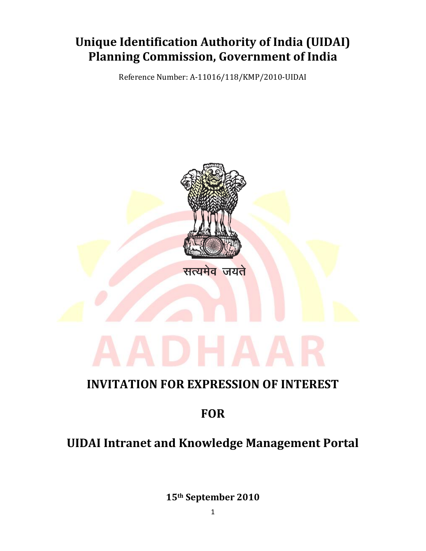# **Unique Identification Authority of India (UIDAI) Planning Commission, Government of India**

Reference Number: A-11016/118/KMP/2010-UIDAI



## **INVITATION FOR EXPRESSION OF INTEREST**

## **FOR**

# **UIDAI Intranet and Knowledge Management Portal**

**15th September 2010**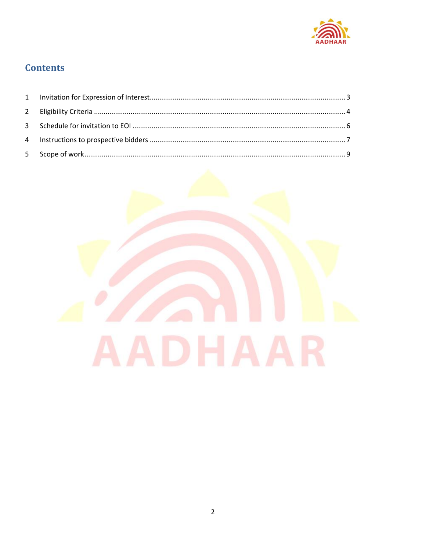

### **Contents**

<span id="page-1-0"></span>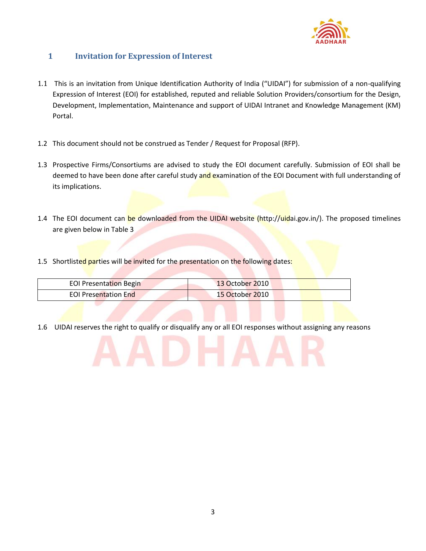

#### **1 Invitation for Expression of Interest**

- 1.1 This is an invitation from Unique Identification Authority of India ("UIDAI") for submission of a non-qualifying Expression of Interest (EOI) for established, reputed and reliable Solution Providers/consortium for the Design, Development, Implementation, Maintenance and support of UIDAI Intranet and Knowledge Management (KM) Portal.
- 1.2 This document should not be construed as Tender / Request for Proposal (RFP).
- 1.3 Prospective Firms/Consortiums are advised to study the EOI document carefully. Submission of EOI shall be deemed to have been done after careful study and examination of the EOI Document with full understanding of its implications.
- 1.4 The EOI document can be downloaded from the UIDAI website (http://uidai.gov.in/). The proposed timelines are given below in Table 3
- 1.5 Shortlisted parties will be invited for the presentation on the following dates:

| <b>EOI Presentation Begin</b> | <b>13 October 2010</b> |
|-------------------------------|------------------------|
| <b>EOI Presentation End</b>   | 15 October 2010        |

<span id="page-2-0"></span>1.6 UIDAI reserves the right to qualify or disqualify any or all EOI responses without assigning any reasons

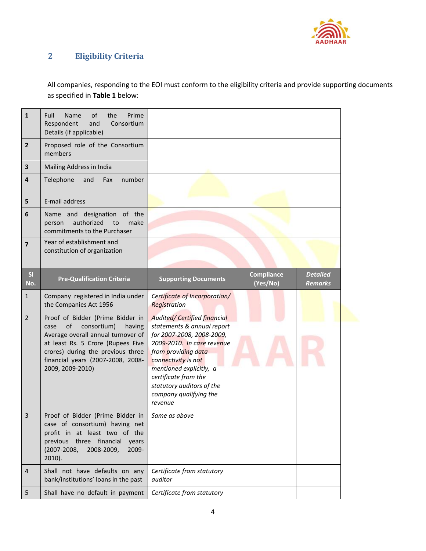

### **2 Eligibility Criteria**

All companies, responding to the EOI must conform to the eligibility criteria and provide supporting documents as specified in **Table 1** below:

| $\mathbf{1}$            | of<br>Prime<br>Full<br>Name<br>the<br>Respondent<br>and<br>Consortium<br>Details (if applicable)                                                                                                                                                 |                                                                                                                                                                                                                                                                                                 |                               |                                   |
|-------------------------|--------------------------------------------------------------------------------------------------------------------------------------------------------------------------------------------------------------------------------------------------|-------------------------------------------------------------------------------------------------------------------------------------------------------------------------------------------------------------------------------------------------------------------------------------------------|-------------------------------|-----------------------------------|
| $\overline{2}$          | Proposed role of the Consortium<br>members                                                                                                                                                                                                       |                                                                                                                                                                                                                                                                                                 |                               |                                   |
| $\overline{\mathbf{3}}$ | Mailing Address in India                                                                                                                                                                                                                         |                                                                                                                                                                                                                                                                                                 |                               |                                   |
| 4                       | Telephone<br>number<br>and<br>Fax                                                                                                                                                                                                                |                                                                                                                                                                                                                                                                                                 |                               |                                   |
| 5                       | E-mail address                                                                                                                                                                                                                                   |                                                                                                                                                                                                                                                                                                 |                               |                                   |
| 6                       | Name and designation of the<br>authorized<br>make<br>to<br>person<br>commitments to the Purchaser                                                                                                                                                |                                                                                                                                                                                                                                                                                                 |                               |                                   |
| $\overline{7}$          | Year of establishment and<br>constitution of organization                                                                                                                                                                                        |                                                                                                                                                                                                                                                                                                 |                               |                                   |
|                         |                                                                                                                                                                                                                                                  |                                                                                                                                                                                                                                                                                                 |                               |                                   |
| SI<br>No.               | <b>Pre-Qualification Criteria</b>                                                                                                                                                                                                                | <b>Supporting Documents</b>                                                                                                                                                                                                                                                                     | <b>Compliance</b><br>(Yes/No) | <b>Detailed</b><br><b>Remarks</b> |
| $\mathbf{1}$            | Company registered in India under<br>the Companies Act 1956                                                                                                                                                                                      | Certificate of Incorporation/<br>Registration                                                                                                                                                                                                                                                   |                               |                                   |
| $\overline{2}$          | Proof of Bidder (Prime Bidder in<br>of<br>consortium)<br>case<br>having<br>Average overall annual turnover of<br>at least Rs. 5 Crore (Rupees Five<br>crores) during the previous three<br>financial years (2007-2008, 2008-<br>2009, 2009-2010) | <b>Audited/ Certified financial</b><br>statements & annual report<br>for 2007-2008, 2008-2009,<br>2009-2010. In case revenue<br>from providing data<br>connectivity is not<br>mentioned explicitly, a<br>certificate from the<br>statutory auditors of the<br>company qualifying the<br>revenue |                               |                                   |
| 3                       | Proof of Bidder (Prime Bidder in<br>case of consortium) having net<br>profit in at least two of the<br>previous three financial<br>years<br>$(2007 - 2008,$<br>2008-2009,<br>2009-<br>$2010$ ).                                                  | Same as above                                                                                                                                                                                                                                                                                   |                               |                                   |
| $\overline{4}$          | Shall not have defaults on any<br>bank/institutions' loans in the past                                                                                                                                                                           | Certificate from statutory<br>auditor                                                                                                                                                                                                                                                           |                               |                                   |
| 5                       | Shall have no default in payment                                                                                                                                                                                                                 | Certificate from statutory                                                                                                                                                                                                                                                                      |                               |                                   |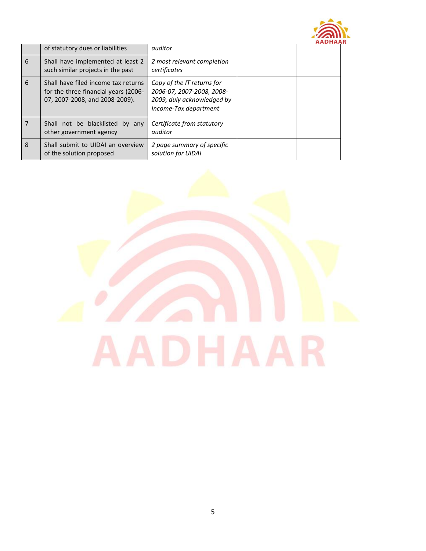

|   |                                                                                                               |                                                                                                                | AADHAA |
|---|---------------------------------------------------------------------------------------------------------------|----------------------------------------------------------------------------------------------------------------|--------|
|   | of statutory dues or liabilities                                                                              | auditor                                                                                                        |        |
| 6 | Shall have implemented at least 2<br>such similar projects in the past                                        | 2 most relevant completion<br>certificates                                                                     |        |
| 6 | Shall have filed income tax returns<br>for the three financial years (2006-<br>07, 2007-2008, and 2008-2009). | Copy of the IT returns for<br>2006-07, 2007-2008, 2008-<br>2009, duly acknowledged by<br>Income-Tax department |        |
| 7 | Shall not be blacklisted by any<br>other government agency                                                    | Certificate from statutory<br>auditor                                                                          |        |
| 8 | Shall submit to UIDAI an overview<br>of the solution proposed                                                 | 2 page summary of specific<br>solution for UIDAI                                                               |        |

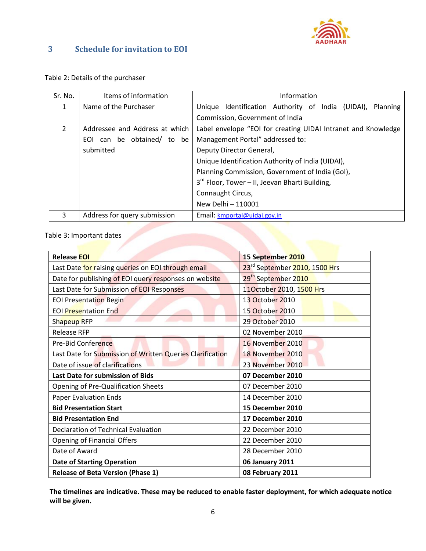

#### <span id="page-5-0"></span>**3 Schedule for invitation to EOI**

#### Table 2: Details of the purchaser

| Sr. No.        | Items of information           | Information                                                   |  |
|----------------|--------------------------------|---------------------------------------------------------------|--|
| 1              | Name of the Purchaser          | Unique Identification Authority of India (UIDAI),<br>Planning |  |
|                |                                | Commission, Government of India                               |  |
| $\overline{2}$ | Addressee and Address at which | Label envelope "EOI for creating UIDAI Intranet and Knowledge |  |
|                | EOI can be obtained/ to be     | Management Portal" addressed to:                              |  |
|                | submitted                      | Deputy Director General,                                      |  |
|                |                                | Unique Identification Authority of India (UIDAI),             |  |
|                |                                | Planning Commission, Government of India (GoI),               |  |
|                |                                | 3 <sup>rd</sup> Floor, Tower - II, Jeevan Bharti Building,    |  |
|                |                                | Connaught Circus,                                             |  |
|                |                                | New Delhi - 110001                                            |  |
| 3              | Address for query submission   | Email: kmportal@uidai.gov.in                                  |  |

#### Table 3: Important dates

| <b>Release EOI</b>                                        | 15 September 2010                         |  |
|-----------------------------------------------------------|-------------------------------------------|--|
| Last Date for raising queries on EOI through email        | 23 <sup>rd</sup> September 2010, 1500 Hrs |  |
| Date for publishing of EOI query responses on website     | 29 <sup>th</sup> September 2010           |  |
| Last Date for Submission of EOI Responses                 | 11October 2010, 1500 Hrs                  |  |
| <b>EOI Presentation Begin</b>                             | 13 October 2010                           |  |
| <b>EOI Presentation End</b>                               | 15 October 2010                           |  |
| Shapeup RFP                                               | 29 October 2010                           |  |
| <b>Release RFP</b>                                        | 02 November 2010                          |  |
| <b>Pre-Bid Conference</b>                                 | 16 November 2010                          |  |
| Last Date for Submission of Written Queries Clarification | 18 November 2010                          |  |
| Date of issue of clarifications                           | 23 November 2010                          |  |
| Last Date for submission of Bids                          | 07 December 2010                          |  |
| <b>Opening of Pre-Qualification Sheets</b>                | 07 December 2010                          |  |
| <b>Paper Evaluation Ends</b>                              | 14 December 2010                          |  |
| <b>Bid Presentation Start</b>                             | 15 December 2010                          |  |
| <b>Bid Presentation End</b>                               | 17 December 2010                          |  |
| Declaration of Technical Evaluation                       | 22 December 2010                          |  |
| Opening of Financial Offers                               | 22 December 2010                          |  |
| Date of Award                                             | 28 December 2010                          |  |
| <b>Date of Starting Operation</b>                         | 06 January 2011                           |  |
| <b>Release of Beta Version (Phase 1)</b>                  | 08 February 2011                          |  |

**The timelines are indicative. These may be reduced to enable faster deployment, for which adequate notice will be given.**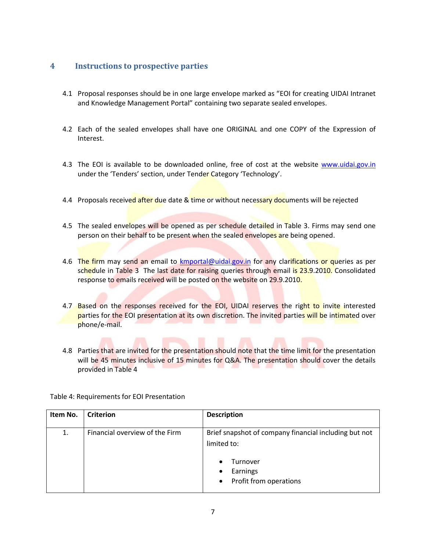#### <span id="page-6-0"></span>**4 Instructions to prospective parties**

- 4.1 Proposal responses should be in one large envelope marked as "EOI for creating UIDAI Intranet and Knowledge Management Portal" containing two separate sealed envelopes.
- 4.2 Each of the sealed envelopes shall have one ORIGINAL and one COPY of the Expression of Interest.
- 4.3 The EOI is available to be downloaded online, free of cost at the website [www.uidai.gov.in](http://www.uidai.gov.in/) under the 'Tenders' section, under Tender Category 'Technology'.
- 4.4 Proposals received after due date & time or without necessary documents will be rejected
- 4.5 The sealed envelopes will be opened as per schedule detailed in Table 3. Firms may send one person on their behalf to be present when the sealed envelopes are being opened.
- 4.6 The firm may send an email to **kmportal@uidai.gov.in** for any clarifications or queries as per schedule in Table 3 The last date for raising queries through email is 23.9.2010. Consolidated response to emails received will be posted on the website on 29.9.2010.
- 4.7 Based on the responses received for the EOI, UIDAI reserves the right to invite interested parties for the EOI presentation at its own discretion. The invited parties will be intimated over phone/e-mail.
- 4.8 Parties that are invited for the presentation should note that the time limit for the presentation will be 45 minutes inclusive of 15 minutes for Q&A. The presentation should cover the details provided in Table 4

| Item No. | <b>Criterion</b>               | <b>Description</b>                                                                                                            |
|----------|--------------------------------|-------------------------------------------------------------------------------------------------------------------------------|
| 1.       | Financial overview of the Firm | Brief snapshot of company financial including but not<br>limited to:<br>Turnover<br>Earnings<br>٠<br>• Profit from operations |

Table 4: Requirements for EOI Presentation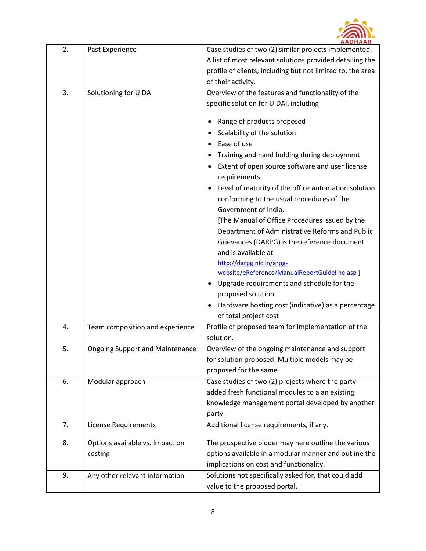

| 2. | Past Experience                        | <b>AADRAAN</b><br>Case studies of two (2) similar projects implemented.                          |
|----|----------------------------------------|--------------------------------------------------------------------------------------------------|
|    |                                        | A list of most relevant solutions provided detailing the                                         |
|    |                                        | profile of clients, including but not limited to, the area                                       |
|    |                                        | of their activity.                                                                               |
| 3. | Solutioning for UIDAI                  | Overview of the features and functionality of the                                                |
|    |                                        | specific solution for UIDAI, including                                                           |
|    |                                        |                                                                                                  |
|    |                                        | Range of products proposed                                                                       |
|    |                                        | Scalability of the solution                                                                      |
|    |                                        | Ease of use                                                                                      |
|    |                                        | Training and hand holding during deployment                                                      |
|    |                                        | Extent of open source software and user license<br>requirements                                  |
|    |                                        | Level of maturity of the office automation solution                                              |
|    |                                        | conforming to the usual procedures of the                                                        |
|    |                                        | Government of India.                                                                             |
|    |                                        | [The Manual of Office Procedures issued by the                                                   |
|    |                                        | Department of Administrative Reforms and Public                                                  |
|    |                                        | Grievances (DARPG) is the reference document                                                     |
|    |                                        | and is available at                                                                              |
|    |                                        | http://darpg.nic.in/arpg-                                                                        |
|    |                                        | website/eReference/ManualReportGuideline.asp ]<br>Upgrade requirements and schedule for the<br>٠ |
|    |                                        | proposed solution                                                                                |
|    |                                        | Hardware hosting cost (indicative) as a percentage                                               |
|    |                                        | of total project cost                                                                            |
| 4. | Team composition and experience        | Profile of proposed team for implementation of the                                               |
|    |                                        | solution.                                                                                        |
| 5. | <b>Ongoing Support and Maintenance</b> | Overview of the ongoing maintenance and support                                                  |
|    |                                        | for solution proposed. Multiple models may be                                                    |
|    |                                        | proposed for the same.                                                                           |
| 6. | Modular approach                       | Case studies of two (2) projects where the party                                                 |
|    |                                        | added fresh functional modules to a an existing                                                  |
|    |                                        | knowledge management portal developed by another                                                 |
|    |                                        | party.                                                                                           |
| 7. | <b>License Requirements</b>            | Additional license requirements, if any.                                                         |
| 8. | Options available vs. Impact on        | The prospective bidder may here outline the various                                              |
|    | costing                                | options available in a modular manner and outline the                                            |
|    |                                        | implications on cost and functionality.                                                          |
| 9. | Any other relevant information         | Solutions not specifically asked for, that could add                                             |
|    |                                        | value to the proposed portal.                                                                    |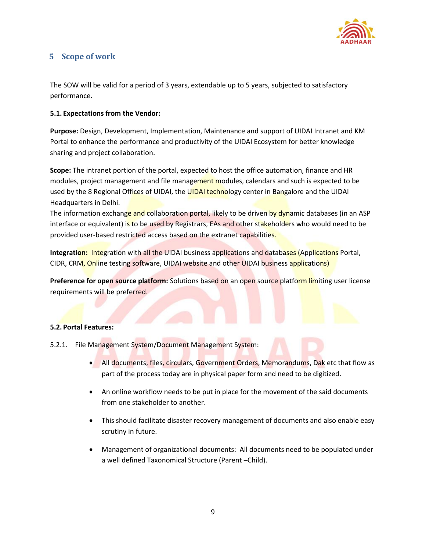

### <span id="page-8-0"></span>**5 Scope of work**

The SOW will be valid for a period of 3 years, extendable up to 5 years, subjected to satisfactory performance.

#### **5.1. Expectations from the Vendor:**

**Purpose:** Design, Development, Implementation, Maintenance and support of UIDAI Intranet and KM Portal to enhance the performance and productivity of the UIDAI Ecosystem for better knowledge sharing and project collaboration.

**Scope:** The intranet portion of the portal, expected to host the office automation, finance and HR modules, project management and file management modules, calendars and such is expected to be used by the 8 Regional Offices of UIDAI, the UIDAI technology center in Bangalore and the UIDAI Headquarters in Delhi.

The information exchange and collaboration portal, likely to be driven by dynamic databases (in an ASP interface or equivalent) is to be used by Registrars, EAs and other stakeholders who would need to be provided user-based restricted access based on the extranet capabilities.

**Integration:** Integration with all the UIDAI business applications and databases (Applications Portal, CIDR, CRM, Online testing software, UIDAI website and other UIDAI business applications)

**Preference for open source platform:** Solutions based on an open source platform limiting user license requirements will be preferred.

#### **5.2. Portal Features:**

- 5.2.1. File Management System/Document Management System:
	- All documents, files, circulars, Government Orders, Memorandums, Dak etc that flow as part of the process today are in physical paper form and need to be digitized.
	- An online workflow needs to be put in place for the movement of the said documents from one stakeholder to another.
	- This should facilitate disaster recovery management of documents and also enable easy scrutiny in future.
	- Management of organizational documents: All documents need to be populated under a well defined Taxonomical Structure (Parent –Child).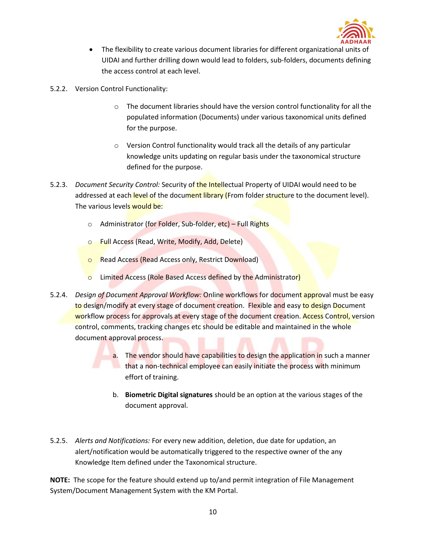

- The flexibility to create various document libraries for different organizational units of UIDAI and further drilling down would lead to folders, sub-folders, documents defining the access control at each level.
- 5.2.2. Version Control Functionality:
	- o The document libraries should have the version control functionality for all the populated information (Documents) under various taxonomical units defined for the purpose.
	- o Version Control functionality would track all the details of any particular knowledge units updating on regular basis under the taxonomical structure defined for the purpose.
- 5.2.3. *Document Security Control:* Security of the Intellectual Property of UIDAI would need to be addressed at each level of the document library (From folder structure to the document level). The various levels would be:
	- o Administrator (for Folder, Sub-folder, etc) Full Rights
	- o Full Access (Read, Write, Modify, Add, Delete)
	- **o** Read Access (Read Access only, Restrict Download)
	- **o** Limited Access (Role Based Access defined by the Administrator)
- 5.2.4. *Design of Document Approval Workflow:* Online workflows for document approval must be easy to design/modify at every stage of document creation. Flexible and easy to design Document workflow process for approvals at every stage of the document creation. Access Control, version control, comments, tracking changes etc should be editable and maintained in the whole document approval process.
	- a. The vendor should have capabilities to design the application in such a manner **that a non-technical employee can easily initiate the process with minimum** effort of training.
	- b. **Biometric Digital signatures** should be an option at the various stages of the document approval.
- 5.2.5. *Alerts and Notifications:* For every new addition, deletion, due date for updation, an alert/notification would be automatically triggered to the respective owner of the any Knowledge Item defined under the Taxonomical structure.

**NOTE:** The scope for the feature should extend up to/and permit integration of File Management System/Document Management System with the KM Portal.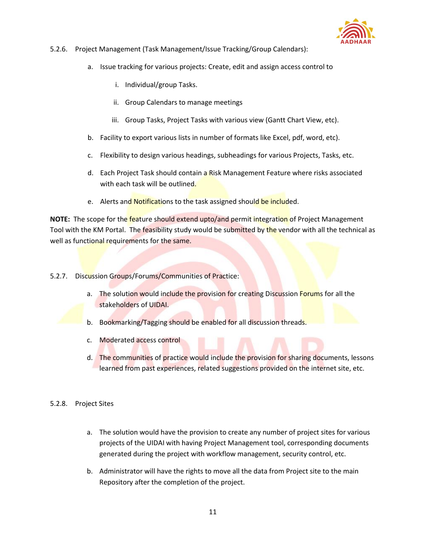

#### 5.2.6. Project Management (Task Management/Issue Tracking/Group Calendars):

- a. Issue tracking for various projects: Create, edit and assign access control to
	- i. Individual/group Tasks.
	- ii. Group Calendars to manage meetings
	- iii. Group Tasks, Project Tasks with various view (Gantt Chart View, etc).
- b. Facility to export various lists in number of formats like Excel, pdf, word, etc).
- c. Flexibility to design various headings, subheadings for various Projects, Tasks, etc.
- d. Each Project Task should contain a Risk Management Feature where risks associated with each task will be outlined.
- e. Alerts and Notifications to the task assigned should be included.

**NOTE:** The scope for the feature should extend upto/and permit integration of Project Management Tool with the KM Portal. The feasibility study would be submitted by the vendor with all the technical as well as functional requirements for the same.

- 5.2.7. Discussion Groups/Forums/Communities of Practice:
	- a. The solution would include the provision for creating Discussion Forums for all the stakeholders of UIDAI.
	- b. Bookmarking/Tagging should be enabled for all discussion threads.
	- c. Moderated access control
	- d. The communities of practice would include the provision for sharing documents, lessons learned from past experiences, related suggestions provided on the internet site, etc.
- 5.2.8. Project Sites
	- a. The solution would have the provision to create any number of project sites for various projects of the UIDAI with having Project Management tool, corresponding documents generated during the project with workflow management, security control, etc.
	- b. Administrator will have the rights to move all the data from Project site to the main Repository after the completion of the project.